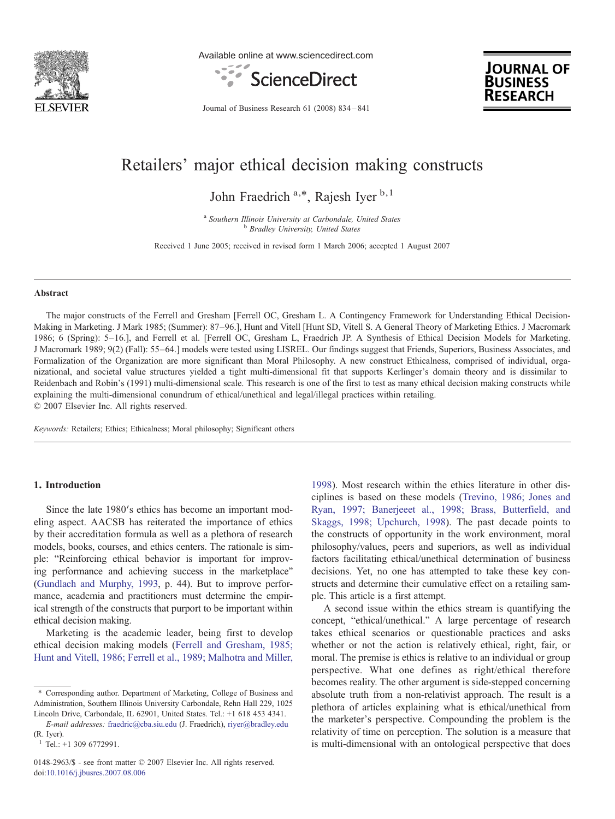

Available online at www.sciencedirect.com



**JOURNAL OF BUSINESS KESEARCH** 

Journal of Business Research 61 (2008) 834–841

## Retailers' major ethical decision making constructs

John Fraedrich  $a,*$ , Rajesh Iyer  $b,1$ 

<sup>a</sup> Southern Illinois University at Carbondale, United States b Bradley University, United States

Received 1 June 2005; received in revised form 1 March 2006; accepted 1 August 2007

#### Abstract

The major constructs of the Ferrell and Gresham [Ferrell OC, Gresham L. A Contingency Framework for Understanding Ethical Decision-Making in Marketing. J Mark 1985; (Summer): 87–96.], Hunt and Vitell [Hunt SD, Vitell S. A General Theory of Marketing Ethics. J Macromark 1986; 6 (Spring): 5–16.], and Ferrell et al. [Ferrell OC, Gresham L, Fraedrich JP. A Synthesis of Ethical Decision Models for Marketing. J Macromark 1989; 9(2) (Fall): 55–64.] models were tested using LISREL. Our findings suggest that Friends, Superiors, Business Associates, and Formalization of the Organization are more significant than Moral Philosophy. A new construct Ethicalness, comprised of individual, organizational, and societal value structures yielded a tight multi-dimensional fit that supports Kerlinger's domain theory and is dissimilar to Reidenbach and Robin's (1991) multi-dimensional scale. This research is one of the first to test as many ethical decision making constructs while explaining the multi-dimensional conundrum of ethical/unethical and legal/illegal practices within retailing. © 2007 Elsevier Inc. All rights reserved.

Keywords: Retailers; Ethics; Ethicalness; Moral philosophy; Significant others

### 1. Introduction

Since the late 1980′s ethics has become an important modeling aspect. AACSB has reiterated the importance of ethics by their accreditation formula as well as a plethora of research models, books, courses, and ethics centers. The rationale is simple: "Reinforcing ethical behavior is important for improving performance and achieving success in the marketplace" ([Gundlach and Murphy, 1993](#page--1-0), p. 44). But to improve performance, academia and practitioners must determine the empirical strength of the constructs that purport to be important within ethical decision making.

Marketing is the academic leader, being first to develop ethical decision making models ([Ferrell and Gresham, 1985;](#page--1-0) [Hunt and Vitell, 1986; Ferrell et al., 1989; Malhotra and Miller,](#page--1-0)

[1998\)](#page--1-0). Most research within the ethics literature in other disciplines is based on these models ([Trevino, 1986; Jones and](#page--1-0) [Ryan, 1997; Banerjeeet al., 1998; Brass, Butterfield, and](#page--1-0) [Skaggs, 1998; Upchurch, 1998\)](#page--1-0). The past decade points to the constructs of opportunity in the work environment, moral philosophy/values, peers and superiors, as well as individual factors facilitating ethical/unethical determination of business decisions. Yet, no one has attempted to take these key constructs and determine their cumulative effect on a retailing sample. This article is a first attempt.

A second issue within the ethics stream is quantifying the concept, "ethical/unethical." A large percentage of research takes ethical scenarios or questionable practices and asks whether or not the action is relatively ethical, right, fair, or moral. The premise is ethics is relative to an individual or group perspective. What one defines as right/ethical therefore becomes reality. The other argument is side-stepped concerning absolute truth from a non-relativist approach. The result is a plethora of articles explaining what is ethical/unethical from the marketer's perspective. Compounding the problem is the relativity of time on perception. The solution is a measure that is multi-dimensional with an ontological perspective that does

<sup>⁎</sup> Corresponding author. Department of Marketing, College of Business and Administration, Southern Illinois University Carbondale, Rehn Hall 229, 1025 Lincoln Drive, Carbondale, IL 62901, United States. Tel.: +1 618 453 4341.

E-mail addresses: [fraedric@cba.siu.edu](mailto:fraedric@cba.siu.edu) (J. Fraedrich), [riyer@bradley.edu](mailto:riyer@bradley.edu) (R. Iyer).

 $1$  Tel.: +1 309 6772991.

<sup>0148-2963/\$ -</sup> see front matter © 2007 Elsevier Inc. All rights reserved. doi:[10.1016/j.jbusres.2007.08.006](http://dx.doi.org/10.1016/j.jbusres.2007.08.006)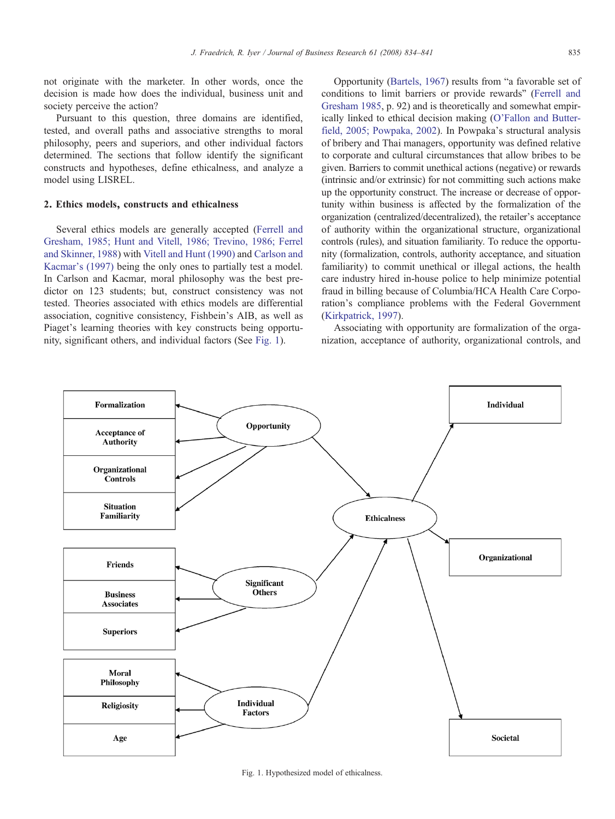not originate with the marketer. In other words, once the decision is made how does the individual, business unit and society perceive the action?

Pursuant to this question, three domains are identified, tested, and overall paths and associative strengths to moral philosophy, peers and superiors, and other individual factors determined. The sections that follow identify the significant constructs and hypotheses, define ethicalness, and analyze a model using LISREL.

### 2. Ethics models, constructs and ethicalness

Several ethics models are generally accepted ([Ferrell and](#page--1-0) [Gresham, 1985; Hunt and Vitell, 1986; Trevino, 1986; Ferrel](#page--1-0) [and Skinner, 1988](#page--1-0)) with [Vitell and Hunt \(1990\)](#page--1-0) and [Carlson and](#page--1-0) [Kacmar's \(1997\)](#page--1-0) being the only ones to partially test a model. In Carlson and Kacmar, moral philosophy was the best predictor on 123 students; but, construct consistency was not tested. Theories associated with ethics models are differential association, cognitive consistency, Fishbein's AIB, as well as Piaget's learning theories with key constructs being opportunity, significant others, and individual factors (See Fig. 1).

Opportunity [\(Bartels, 1967](#page--1-0)) results from "a favorable set of conditions to limit barriers or provide rewards" ([Ferrell and](#page--1-0) [Gresham 1985,](#page--1-0) p. 92) and is theoretically and somewhat empirically linked to ethical decision making [\(O'Fallon and Butter](#page--1-0)[field, 2005; Powpaka, 2002](#page--1-0)). In Powpaka's structural analysis of bribery and Thai managers, opportunity was defined relative to corporate and cultural circumstances that allow bribes to be given. Barriers to commit unethical actions (negative) or rewards (intrinsic and/or extrinsic) for not committing such actions make up the opportunity construct. The increase or decrease of opportunity within business is affected by the formalization of the organization (centralized/decentralized), the retailer's acceptance of authority within the organizational structure, organizational controls (rules), and situation familiarity. To reduce the opportunity (formalization, controls, authority acceptance, and situation familiarity) to commit unethical or illegal actions, the health care industry hired in-house police to help minimize potential fraud in billing because of Columbia/HCA Health Care Corporation's compliance problems with the Federal Government ([Kirkpatrick, 1997](#page--1-0)).

Associating with opportunity are formalization of the organization, acceptance of authority, organizational controls, and



Fig. 1. Hypothesized model of ethicalness.